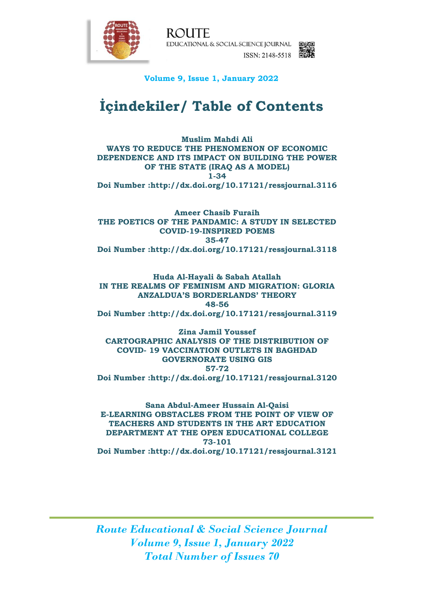

**ROUTE** EDUCATIONAL & SOCIAL SCIENCE JOURNAL ISSN: 2148-5518 图解

## **Volume 9, Issue 1, January 2022**

## **İçindekiler/ Table of Contents**

**Muslim Mahdi Ali WAYS TO REDUCE THE PHENOMENON OF ECONOMIC DEPENDENCE AND ITS IMPACT ON BUILDING THE POWER OF THE STATE (IRAQ AS A MODEL) 1-34 Doi Number :http://dx.doi.org/10.17121/ressjournal.3116**

**Ameer Chasib Furaih THE POETICS OF THE PANDAMIC: A STUDY IN SELECTED COVID-19-INSPIRED POEMS 35-47 Doi Number :http://dx.doi.org/10.17121/ressjournal.3118**

**Huda Al-Hayali & Sabah Atallah IN THE REALMS OF FEMINISM AND MIGRATION: GLORIA ANZALDUA'S BORDERLANDS' THEORY 48-56 Doi Number :http://dx.doi.org/10.17121/ressjournal.3119**

**Zina Jamil Youssef CARTOGRAPHIC ANALYSIS OF THE DISTRIBUTION OF COVID- 19 VACCINATION OUTLETS IN BAGHDAD GOVERNORATE USING GIS 57-72 Doi Number :http://dx.doi.org/10.17121/ressjournal.3120**

**Sana Abdul-Ameer Hussain Al-Qaisi E-LEARNING OBSTACLES FROM THE POINT OF VIEW OF TEACHERS AND STUDENTS IN THE ART EDUCATION DEPARTMENT AT THE OPEN EDUCATIONAL COLLEGE 73-101 Doi Number :http://dx.doi.org/10.17121/ressjournal.3121**

*Route Educational & Social Science Journal Volume 9, Issue 1, January 2022 Total Number of Issues 70*